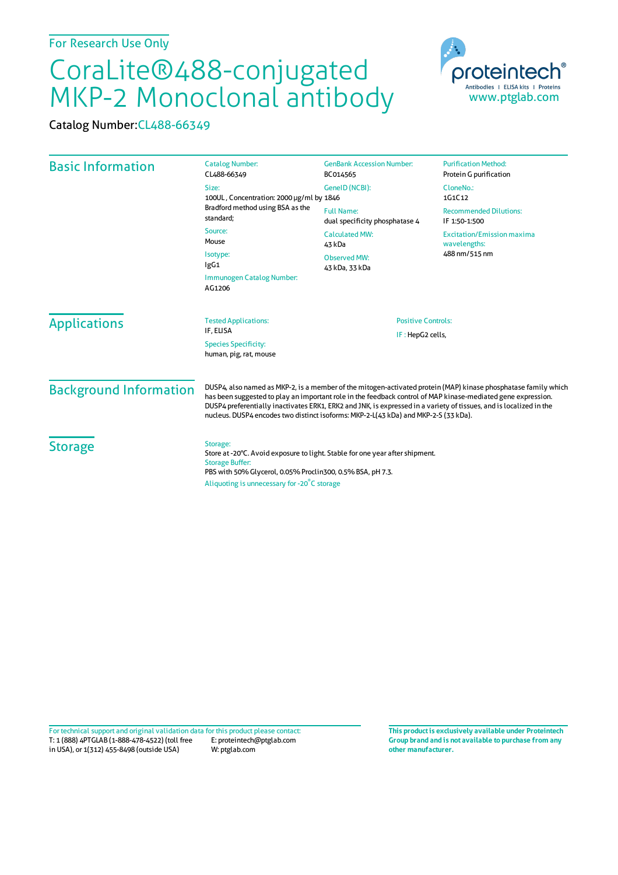## CoraLite®488-conjugated MKP-2 Monoclonal antibody

Catalog Number:CL488-66349



| <b>Basic Information</b>      | <b>Catalog Number:</b><br>CL488-66349                                                                                                                                                                                                                                                                                                                                                                                                       | <b>GenBank Accession Number:</b><br>BC014565           | <b>Purification Method:</b><br>Protein G purification |
|-------------------------------|---------------------------------------------------------------------------------------------------------------------------------------------------------------------------------------------------------------------------------------------------------------------------------------------------------------------------------------------------------------------------------------------------------------------------------------------|--------------------------------------------------------|-------------------------------------------------------|
|                               | Size:<br>100UL, Concentration: 2000 µg/ml by 1846<br>Bradford method using BSA as the<br>standard;                                                                                                                                                                                                                                                                                                                                          | GeneID (NCBI):                                         | CloneNo.:<br>1G1C12                                   |
|                               |                                                                                                                                                                                                                                                                                                                                                                                                                                             | <b>Full Name:</b><br>dual specificity phosphatase 4    | <b>Recommended Dilutions:</b><br>IF 1:50-1:500        |
|                               | Source:<br><b>Calculated MW:</b><br>Mouse<br>43 kDa                                                                                                                                                                                                                                                                                                                                                                                         |                                                        | <b>Excitation/Emission maxima</b><br>wavelengths:     |
|                               | Isotype:<br>lgG1                                                                                                                                                                                                                                                                                                                                                                                                                            | 488 nm/515 nm<br><b>Observed MW:</b><br>43 kDa, 33 kDa |                                                       |
|                               | Immunogen Catalog Number:<br>AG1206                                                                                                                                                                                                                                                                                                                                                                                                         |                                                        |                                                       |
| <b>Applications</b>           | <b>Tested Applications:</b>                                                                                                                                                                                                                                                                                                                                                                                                                 | <b>Positive Controls:</b><br>IF: HepG2 cells,          |                                                       |
|                               | IF, ELISA<br><b>Species Specificity:</b><br>human, pig, rat, mouse                                                                                                                                                                                                                                                                                                                                                                          |                                                        |                                                       |
| <b>Background Information</b> | DUSP4, also named as MKP-2, is a member of the mitogen-activated protein (MAP) kinase phosphatase family which<br>has been suggested to play an important role in the feedback control of MAP kinase-mediated gene expression.<br>DUSP4 preferentially inactivates ERK1, ERK2 and JNK, is expressed in a variety of tissues, and is localized in the<br>nucleus. DUSP4 encodes two distinct isoforms: MKP-2-L(43 kDa) and MKP-2-S (33 kDa). |                                                        |                                                       |
| <b>Storage</b>                | Storage:<br>Store at -20°C. Avoid exposure to light. Stable for one year after shipment.<br><b>Storage Buffer:</b><br>PBS with 50% Glycerol, 0.05% Proclin300, 0.5% BSA, pH 7.3.<br>Aliquoting is unnecessary for -20 <sup>°</sup> C storage                                                                                                                                                                                                |                                                        |                                                       |

T: 1 (888) 4PTGLAB (1-888-478-4522) (toll free in USA), or 1(312) 455-8498 (outside USA) E: proteintech@ptglab.com W: ptglab.com Fortechnical support and original validation data forthis product please contact: **This productis exclusively available under Proteintech**

**Group brand and is not available to purchase from any other manufacturer.**